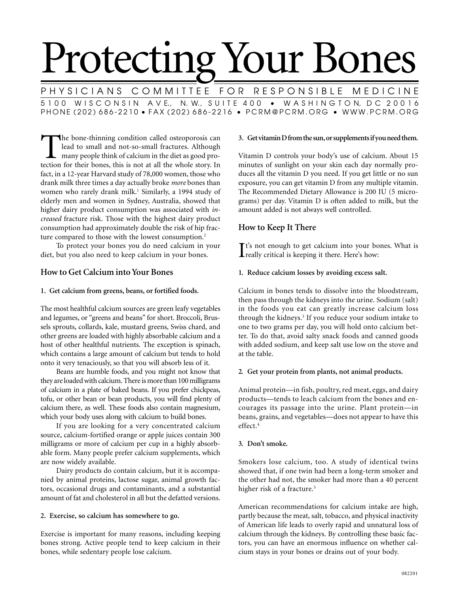# Protecting Your Bones

P H Y S I C I A N S  $\,$  C O M M I TT E F O R  $\,$  R E S P O N S I B L E  $\,$  M E D I C I N E 5 1 0 0 W I S C O N S I N A V E., N. W., S U I T E 4 0 0 · W A S H I N G T O N, D C 2 0 0 1 6 PHONE (202) 686-2210 • FAX (202) 686-2216 • PCRM@PCRM.ORG • WWW.PCRM.ORG

The bone-thinning condition called osteoporosis can lead to small and not-so-small fractures. Although many people think of calcium in the diet as good protection for their bones, this is not at all the whole story. In lead to small and not-so-small fractures. Although many people think of calcium in the diet as good profact, in a 12-year Harvard study of 78,000 women, those who drank milk three times a day actually broke *more* bones than women who rarely drank milk.<sup>1</sup> Similarly, a 1994 study of elderly men and women in Sydney, Australia, showed that higher dairy product consumption was associated with *increased* fracture risk. Those with the highest dairy product consumption had approximately double the risk of hip fracture compared to those with the lowest consumption.<sup>2</sup>

To protect your bones you do need calcium in your diet, but you also need to keep calcium in your bones.

# **How to Get Calcium into Your Bones**

## **1. Get calcium from greens, beans, or fortified foods.**

The most healthful calcium sources are green leafy vegetables and legumes, or "greens and beans" for short. Broccoli, Brussels sprouts, collards, kale, mustard greens, Swiss chard, and other greens are loaded with highly absorbable calcium and a host of other healthful nutrients. The exception is spinach, which contains a large amount of calcium but tends to hold onto it very tenaciously, so that you will absorb less of it.

Beans are humble foods, and you might not know that they are loaded with calcium. There is more than 100 milligrams of calcium in a plate of baked beans. If you prefer chickpeas, tofu, or other bean or bean products, you will find plenty of calcium there, as well. These foods also contain magnesium, which your body uses along with calcium to build bones.

If you are looking for a very concentrated calcium source, calcium-fortified orange or apple juices contain 300 milligrams or more of calcium per cup in a highly absorbable form. Many people prefer calcium supplements, which are now widely available.

Dairy products do contain calcium, but it is accompanied by animal proteins, lactose sugar, animal growth factors, occasional drugs and contaminants, and a substantial amount of fat and cholesterol in all but the defatted versions.

## **2. Exercise, so calcium has somewhere to go.**

Exercise is important for many reasons, including keeping bones strong. Active people tend to keep calcium in their bones, while sedentary people lose calcium.

#### **3. Get vitamin D from the sun, or supplements if you need them.**

Vitamin D controls your body's use of calcium. About 15 minutes of sunlight on your skin each day normally produces all the vitamin D you need. If you get little or no sun exposure, you can get vitamin D from any multiple vitamin. The Recommended Dietary Allowance is 200 IU (5 micrograms) per day. Vitamin D is often added to milk, but the amount added is not always well controlled.

## **How to Keep It There**

It's not enough to get calcium into your be<br>really critical is keeping it there. Here's how:  $\mathbf{T}$ t's not enough to get calcium into your bones. What is

## **1. Reduce calcium losses by avoiding excess salt.**

Calcium in bones tends to dissolve into the bloodstream, then pass through the kidneys into the urine. Sodium (salt) in the foods you eat can greatly increase calcium loss through the kidneys.3 If you reduce your sodium intake to one to two grams per day, you will hold onto calcium better. To do that, avoid salty snack foods and canned goods with added sodium, and keep salt use low on the stove and at the table.

## **2. Get your protein from plants, not animal products.**

Animal protein—in fish, poultry, red meat, eggs, and dairy products—tends to leach calcium from the bones and encourages its passage into the urine. Plant protein—in beans, grains, and vegetables—does not appear to have this effect.4

## **3. Don't smoke.**

Smokers lose calcium, too. A study of identical twins showed that, if one twin had been a long-term smoker and the other had not, the smoker had more than a 40 percent higher risk of a fracture.<sup>5</sup>

American recommendations for calcium intake are high, partly because the meat, salt, tobacco, and physical inactivity of American life leads to overly rapid and unnatural loss of calcium through the kidneys. By controlling these basic factors, you can have an enormous influence on whether calcium stays in your bones or drains out of your body.